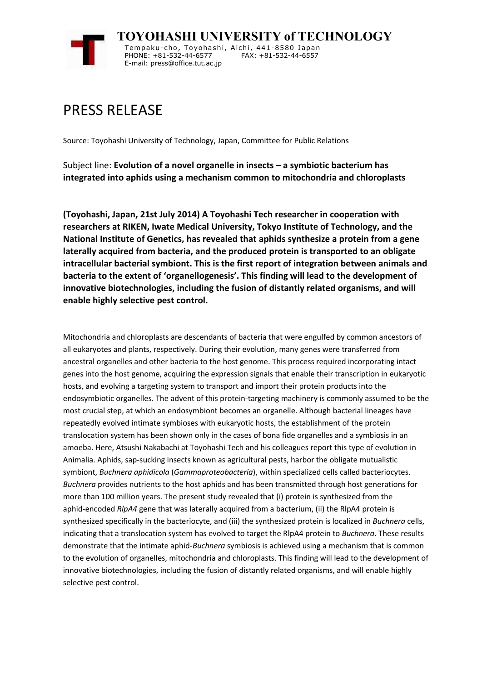

**TOYOHASHI UNIVERSITY of TECHNOLOGY** Tempaku-cho, Toyohashi, Aichi, 441-8580 Japan PHONE: +81-532-44-6577 FAX: +81-532-44-6557 E-mail: press@office.tut.ac.jp

## PRESS RELEASE

Source: Toyohashi University of Technology, Japan, Committee for Public Relations

Subject line: **Evolution of a novel organelle in insects – a symbiotic bacterium has integrated into aphids using a mechanism common to mitochondria and chloroplasts**

**(Toyohashi, Japan, 21st July 2014) A Toyohashi Tech researcher in cooperation with researchers at RIKEN, Iwate Medical University, Tokyo Institute of Technology, and the National Institute of Genetics, has revealed that aphids synthesize a protein from a gene laterally acquired from bacteria, and the produced protein is transported to an obligate intracellular bacterial symbiont. This is the first report of integration between animals and bacteria to the extent of 'organellogenesis'. This finding will lead to the development of innovative biotechnologies, including the fusion of distantly related organisms, and will enable highly selective pest control.**

Mitochondria and chloroplasts are descendants of bacteria that were engulfed by common ancestors of all eukaryotes and plants, respectively. During their evolution, many genes were transferred from ancestral organelles and other bacteria to the host genome. This process required incorporating intact genes into the host genome, acquiring the expression signals that enable their transcription in eukaryotic hosts, and evolving a targeting system to transport and import their protein products into the endosymbiotic organelles. The advent of this protein-targeting machinery is commonly assumed to be the most crucial step, at which an endosymbiont becomes an organelle. Although bacterial lineages have repeatedly evolved intimate symbioses with eukaryotic hosts, the establishment of the protein translocation system has been shown only in the cases of bona fide organelles and a symbiosis in an amoeba. Here, Atsushi Nakabachi at Toyohashi Tech and his colleagues report this type of evolution in Animalia. Aphids, sap-sucking insects known as agricultural pests, harbor the obligate mutualistic symbiont, *Buchnera aphidicola* (*Gammaproteobacteria*), within specialized cells called bacteriocytes. *Buchnera* provides nutrients to the host aphids and has been transmitted through host generations for more than 100 million years. The present study revealed that (i) protein is synthesized from the aphid-encoded *RlpA4* gene that was laterally acquired from a bacterium, (ii) the RlpA4 protein is synthesized specifically in the bacteriocyte, and (iii) the synthesized protein is localized in *Buchnera* cells, indicating that a translocation system has evolved to target the RlpA4 protein to *Buchnera*. These results demonstrate that the intimate aphid-*Buchnera* symbiosis is achieved using a mechanism that is common to the evolution of organelles, mitochondria and chloroplasts. This finding will lead to the development of innovative biotechnologies, including the fusion of distantly related organisms, and will enable highly selective pest control.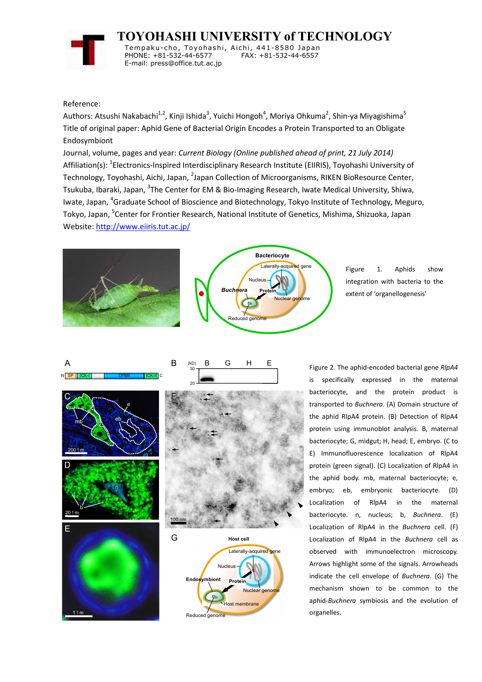

**TOYOHASHI UNIVERSITY of TECHNOLOGY**

Tempaku-cho, Toyohashi, Aichi, 441-8580 Japan PHONE: +81-532-44-6577 E-mail: press@office.tut.ac.jp

## Reference:

Authors: Atsushi Nakabachi<sup>1,2</sup>, Kinji Ishida<sup>3</sup>, Yuichi Hongoh<sup>4</sup>, Moriya Ohkuma<sup>2</sup>, Shin-ya Miyagishima<sup>5</sup> Title of original paper: Aphid Gene of Bacterial Origin Encodes a Protein Transported to an Obligate Endosymbiont

Journal, volume, pages and year: *Current Biology (Online published ahead of print, 21 July 2014)* Affiliation(s): <sup>1</sup>Electronics-Inspired Interdisciplinary Research Institute (EIIRIS), Toyohashi University of Technology, Toyohashi, Aichi, Japan, <sup>2</sup>Japan Collection of Microorganisms, RIKEN BioResource Center, Tsukuba, Ibaraki, Japan, <sup>3</sup>The Center for EM & Bio-Imaging Research, Iwate Medical University, Shiwa, Iwate, Japan, <sup>4</sup>Graduate School of Bioscience and Biotechnology, Tokyo Institute of Technology, Meguro, Tokyo, Japan, <sup>5</sup>Center for Frontier Research, National Institute of Genetics, Mishima, Shizuoka, Japan Website: http://www.eiiris.tut.ac.jp/





Figure 1. Aphids show integration with bacteria to the extent of 'organellogenesis'



Figure 2. The aphid-encoded bacterial gene *RlpA4* is specifically expressed in the maternal bacteriocyte, and the protein product is transported to *Buchnera*. (A) Domain structure of the aphid RlpA4 protein. (B) Detection of RlpA4 protein using immunoblot analysis. B, maternal bacteriocyte; G, midgut; H, head; E, embryo. (C to E) Immunofluorescence localization of RlpA4 protein (green signal). (C) Localization of RlpA4 in the aphid body. mb, maternal bacteriocyte; e, embryo; eb, embryonic bacteriocyte. (D) Localization of RlpA4 in the maternal bacteriocyte. n, nucleus; b, *Buchnera*. (E) Localization of RlpA4 in the *Buchnera* cell. (F) Localization of RlpA4 in the *Buchnera* cell as observed with immunoelectron microscopy. Arrows highlight some of the signals. Arrowheads indicate the cell envelope of *Buchnera*. (G) The mechanism shown to be common to the aphid-*Buchnera* symbiosis and the evolution of organelles.